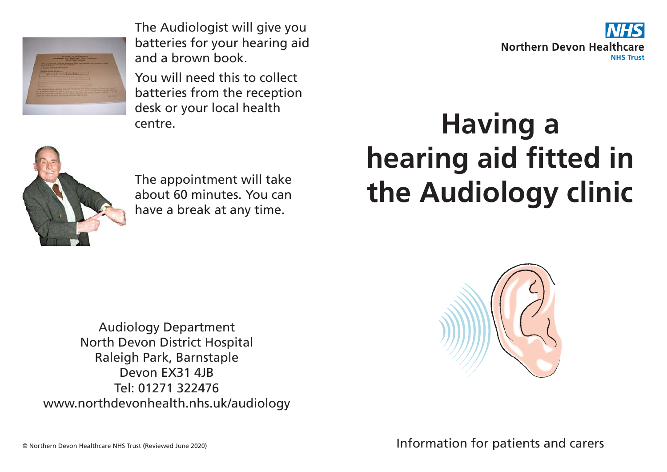

The Audiologist will give you batteries for your hearing aid and a brown book.

You will need this to collect batteries from the reception desk or your local health centre.



## **Having a hearing aid fitted in** The appointment will take<br>about 60 minutes. You can<br> **the Audiology clinic**



about 60 minutes. You can have a break at any time.

## Audiology Department North Devon District Hospital Raleigh Park, Barnstaple Devon EX31 4JB Tel: 01271 322476 www.northdevonhealth.nhs.uk/audiology



Information for patients and carers